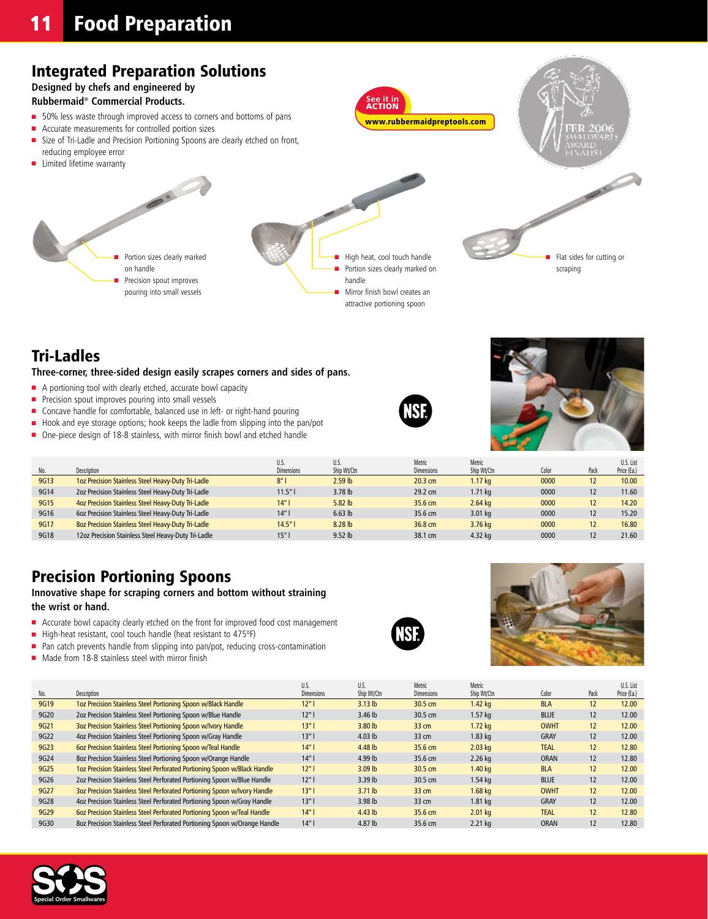## Integrated Preparation Solutions

**Designed by chefs and engineered by** 

#### **Rubbermaid® Commercial Products.**

- 50% less waste through improved access to corners and bottoms of pans
- Accurate measurements for controlled portion sizes
- Size of Tri-Ladle and Precision Portioning Spoons are clearly etched on front,

Portion sizes clearly marked

 $\sum_{i=1}^{n}$ 

Precision spout improves pouring into small vessels

reducing employee error **n** Limited lifetime warranty

- High heat, cool touch handle Portion sizes clearly marked on handle
	- Mirror finish bowl creates an attractive portioning spoon

**See it in** action

www.rubbermaidpreptools.com

Flat sides for cutting or scraping

## Tri-Ladles

**Three-corner, three-sided design easily scrapes corners and sides of pans.**

 $\blacksquare$  A portioning tool with clearly etched, accurate bowl capacity

on handle

- **n** Precision spout improves pouring into small vessels
- Concave handle for comfortable, balanced use in left- or right-hand pouring
- Hook and eye storage options; hook keeps the ladle from slipping into the pan/pot
- One-piece design of 18-8 stainless, with mirror finish bowl and etched handle



|      |                                                     | U.S.              | U.S.               | Metric            | Metric             |       |      | U.S. List   |
|------|-----------------------------------------------------|-------------------|--------------------|-------------------|--------------------|-------|------|-------------|
| No.  | Description                                         | <b>Dimensions</b> | Ship Wt/Ctn        | <b>Dimensions</b> | Ship Wt/Ctn        | Color | Pack | Price (Ea.) |
| 9G13 | 1oz Precision Stainless Steel Heavy-Duty Tri-Ladle  | 8"                | 2.59 <sub>lb</sub> | 20.3 cm           | 1.17 ka            | 0000  | 12   | 10.00       |
| 9G14 | 2oz Precision Stainless Steel Heavy-Duty Tri-Ladle  | 11.5"             | $3.78$ lb          | 29.2 cm           | 1.71 <sub>ka</sub> | 0000  |      | 11.60       |
| 9G15 | 4oz Precision Stainless Steel Heavy-Duty Tri-Ladle  | 14"               | 5.82 lb            | 35.6 cm           | $2.64$ kg          | 0000  | 12   | 14.20       |
| 9G16 | 6oz Precision Stainless Steel Heavy-Duty Tri-Ladle  | 14"               | $6.63$ lb          | 35.6 cm           | $3.01$ kg          | 0000  | 12   | 15.20       |
| 9G17 | 8oz Precision Stainless Steel Heavy-Duty Tri-Ladle  | 14.5"             | 8.28 lb            | 36.8 cm           | 3.76 kg            | 0000  | 12   | 16.80       |
| 9G18 | 12oz Precision Stainless Steel Heavy-Duty Tri-Ladle | 15"               | $9.52$ lb          | 38.1 cm           | 4.32 kg            | 0000  |      | 21.60       |

### Precision Portioning Spoons

**Innovative shape for scraping corners and bottom without straining the wrist or hand.**

- Accurate bowl capacity clearly etched on the front for improved food cost management
- High-heat resistant, cool touch handle (heat resistant to 475°F)
- $\blacksquare$  Pan catch prevents handle from slipping into pan/pot, reducing cross-contamination
- Made from 18-8 stainless steel with mirror finish





|      |                                                                           | U.S.              | U.S.               | Metric            | Metric            |             |      | U.S. List   |
|------|---------------------------------------------------------------------------|-------------------|--------------------|-------------------|-------------------|-------------|------|-------------|
| No.  | Description                                                               | <b>Dimensions</b> | Ship Wt/Ctn        | <b>Dimensions</b> | Ship Wt/Ctn       | Color       | Pack | Price (Ea.) |
| 9G19 | 1oz Precision Stainless Steel Portioning Spoon w/Black Handle             | 12"               | $3.13$ lb          | 30.5 cm           | $1.42$ kg         | <b>BLA</b>  | 12   | 12.00       |
| 9G20 | 2oz Precision Stainless Steel Portioning Spoon w/Blue Handle              | 12"               | $3.46$ lb          | 30.5 cm           | $1.57$ kg         | <b>BLUE</b> | 12   | 12.00       |
| 9G21 | 3oz Precision Stainless Steel Portioning Spoon w/Ivory Handle             | 13"               | 3.80 <sub>lb</sub> | 33 cm             | $1.72$ kg         | <b>OWHT</b> | 12   | 12.00       |
| 9G22 | 4oz Precision Stainless Steel Portioning Spoon w/Gray Handle              | 13"               | $4.03$ lb          | 33 cm             | $1.83$ kg         | <b>GRAY</b> | 12   | 12.00       |
| 9G23 | 602 Precision Stainless Steel Portioning Spoon w/Teal Handle              | 14"               | $4.48$ lb          | 35.6 cm           | $2.03$ kg         | <b>TEAL</b> | 12   | 12.80       |
| 9G24 | 8oz Precision Stainless Steel Portioning Spoon w/Orange Handle            | 14"               | 4.99 lb            | 35.6 cm           | $2.26$ kg         | <b>ORAN</b> | 12   | 12.80       |
| 9G25 | 1oz Precision Stainless Steel Perforated Portioning Spoon w/Black Handle  | 12"               | $3.09$ lb          | 30.5 cm           | 1.40 <sub>k</sub> | <b>BLA</b>  | 12   | 12.00       |
| 9G26 | 2oz Precision Stainless Steel Perforated Portioning Spoon w/Blue Handle   | 12"               | $3.39$ lb          | 30.5 cm           | $1.54$ kg         | <b>BLUE</b> | 12   | 12.00       |
| 9G27 | 3oz Precision Stainless Steel Perforated Portioning Spoon w/Ivory Handle  | 13"               | $3.71$ lb          | $33 \text{ cm}$   | $1.68$ kg         | <b>OWHT</b> | 12   | 12.00       |
| 9G28 | 4oz Precision Stainless Steel Perforated Portioning Spoon w/Gray Handle   | 13"               | 3.98 lb            | 33 cm             | $1.81$ kg         | <b>GRAY</b> | 12   | 12.00       |
| 9G29 | 602 Precision Stainless Steel Perforated Portioning Spoon w/Teal Handle   | 14"               | $4.43$ lb          | 35.6 cm           | $2.01$ kg         | <b>TEAL</b> | 12   | 12.80       |
| 9G30 | 8oz Precision Stainless Steel Perforated Portioning Spoon w/Orange Handle | 14"               | 4.87 lb            | 35.6 cm           | 2.21 kg           | <b>ORAN</b> | 12   | 12.80       |

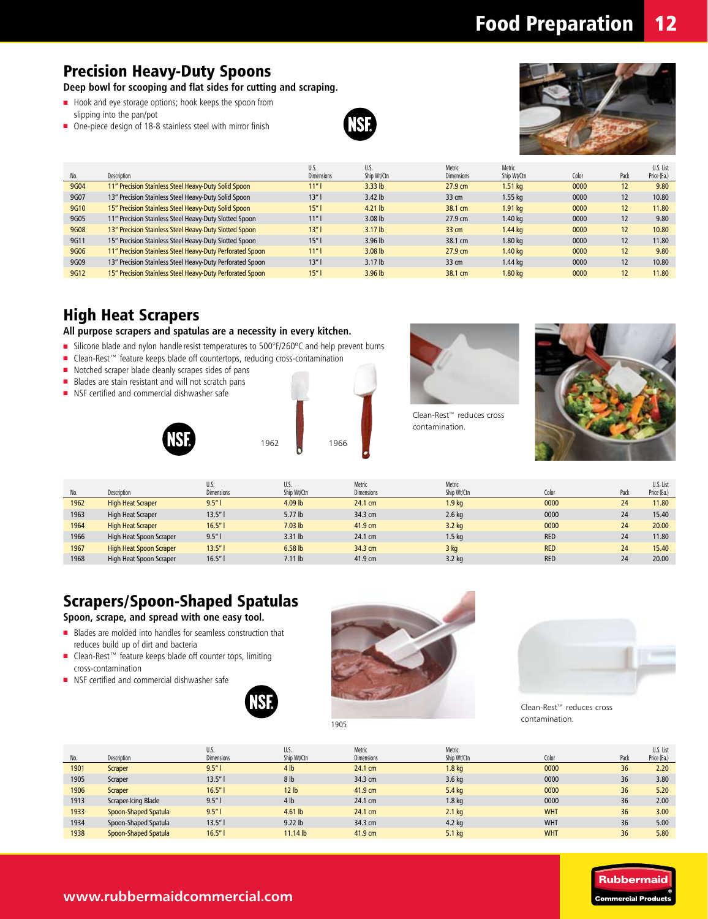## Precision Heavy-Duty Spoons

**Deep bowl for scooping and flat sides for cutting and scraping.** 

- Hook and eye storage options; hook keeps the spoon from slipping into the pan/pot
- One-piece design of 18-8 stainless steel with mirror finish





| No.  | <b>Description</b>                                        | U.S.<br><b>Dimensions</b> | U.S.<br>Ship Wt/Ctn | Metric<br><b>Dimensions</b> | Metric<br>Ship Wt/Ctn | Color | Pack | U.S. List<br>Price (Ea.) |
|------|-----------------------------------------------------------|---------------------------|---------------------|-----------------------------|-----------------------|-------|------|--------------------------|
| 9G04 | 11" Precision Stainless Steel Heavy-Duty Solid Spoon      | 11"                       | $3.33$ lb           | $27.9 \text{ cm}$           | $1.51$ kg             | 0000  | 12   | 9.80                     |
| 9G07 | 13" Precision Stainless Steel Heavy-Duty Solid Spoon      | 13"                       | $3.42$ lb           | $33 \text{ cm}$             | $1.55$ ka             | 0000  | 12   | 10.80                    |
| 9G10 | 15" Precision Stainless Steel Heavy-Duty Solid Spoon      | 15"                       | $4.21$ lb           | 38.1 cm                     | $1.91$ kg             | 0000  | 12   | 11.80                    |
| 9G05 | 11" Precision Stainless Steel Heavy-Duty Slotted Spoon    | 11"                       | $3.08$ lb           | 27.9 cm                     | 1.40 <sub>k</sub>     | 0000  | 12   | 9.80                     |
| 9G08 | 13" Precision Stainless Steel Heavy-Duty Slotted Spoon    | 13"                       | 3.17 <sub>lb</sub>  | $33 \text{ cm}$             | 1.44 <sub>ka</sub>    | 0000  | 12   | 10.80                    |
| 9G11 | 15" Precision Stainless Steel Heavy-Duty Slotted Spoon    | 15"                       | $3.96$ lb           | 38.1 cm                     | $1.80$ kg             | 0000  | 12   | 11.80                    |
| 9G06 | 11" Precision Stainless Steel Heavy-Duty Perforated Spoon | 11"                       | $3.08$ lb           | $27.9 \text{ cm}$           | 1.40 <sub>k</sub>     | 0000  | 12   | 9.80                     |
| 9G09 | 13" Precision Stainless Steel Heavy-Duty Perforated Spoon | 13"                       | 3.17 <sub>lb</sub>  | $33 \text{ cm}$             | $1.44$ ka             | 0000  | 12   | 10.80                    |
| 9G12 | 15" Precision Stainless Steel Heavy-Duty Perforated Spoon | 15"                       | $3.96$ lb           | 38.1 cm                     | 1.80 <sub>k</sub>     | 0000  | 12   | 11.80                    |

### High Heat Scrapers

#### **All purpose scrapers and spatulas are a necessity in every kitchen.**

- Silicone blade and nylon handle resist temperatures to 500°F/260°C and help prevent burns
- Clean-Rest<sup>™</sup> feature keeps blade off countertops, reducing cross-contamination
- n Notched scraper blade cleanly scrapes sides of pans
- Blades are stain resistant and will not scratch pans
- **NSF** certified and commercial dishwasher safe







contamination.



| No.  | Description                    | U.S.<br><b>Dimensions</b> | U.S.<br>Ship Wt/Ctn | Metric<br><b>Dimensions</b> | Metric<br>Ship Wt/Ctn | Color      | Pack | U.S. List<br>Price (Ea.) |
|------|--------------------------------|---------------------------|---------------------|-----------------------------|-----------------------|------------|------|--------------------------|
| 1962 | <b>High Heat Scraper</b>       | 9.5"                      | 4.09 lb             | 24.1 cm                     | 1.9 <sub>kg</sub>     | 0000       | 24   | 11.80                    |
| 1963 | High Heat Scraper              | 13.5"                     | 5.77 lb             | 34.3 cm                     | $2.6$ kg              | 0000       | 24   | 15.40                    |
| 1964 | <b>High Heat Scraper</b>       | 16.5"                     | 7.03 <sub>lb</sub>  | 41.9 cm                     | $3.2$ kg              | 0000       | 24   | 20.00                    |
| 1966 | High Heat Spoon Scraper        | 9.5"                      | $3.31$ lb           | 24.1 cm                     | 1.5 <sub>kq</sub>     | <b>RED</b> | 24   | 11.80                    |
| 1967 | <b>High Heat Spoon Scraper</b> | 13.5"                     | $6.58$ lb           | 34.3 cm                     | 3 kg                  | <b>RED</b> | 24   | 15.40                    |
| 1968 | High Heat Spoon Scraper        | 16.5"                     | $7.11$ lb           | 41.9 cm                     | $3.2$ kg              | <b>RED</b> | 24   | 20.00                    |

# Scrapers/Spoon-Shaped Spatulas

**Spoon, scrape, and spread with one easy tool.**

- <sup>n</sup> Blades are molded into handles for seamless construction that reduces build up of dirt and bacteria
- Clean-Rest<sup>™</sup> feature keeps blade off counter tops, limiting cross-contamination
- NSF certified and commercial dishwasher safe





Clean-Rest™ reduces cross contamination.

|      |                      | U.S.              | U.S.             | Metric            | Metric            |            |      | U.S. List   |
|------|----------------------|-------------------|------------------|-------------------|-------------------|------------|------|-------------|
| No.  | Description          | <b>Dimensions</b> | Ship Wt/Ctn      | <b>Dimensions</b> | Ship Wt/Ctn       | Color      | Pack | Price (Ea.) |
| 1901 | Scraper              | 9.5"              | 4 <sub>lb</sub>  | 24.1 cm           | 1.8 <sub>kq</sub> | 0000       | 36   | 2.20        |
| 1905 | Scraper              | 13.5"             | 8 <sub>lb</sub>  | 34.3 cm           | 3.6 <sub>kg</sub> | 0000       | 36   | 3.80        |
| 1906 | Scraper              | 16.5"             | 12 <sub>lb</sub> | 41.9 cm           | $5.4$ kg          | 0000       | 36   | 5.20        |
| 1913 | Scraper-Icing Blade  | 9.5"              | 4 <sub>lb</sub>  | 24.1 cm           | 1.8 kg            | 0000       | 36   | 2.00        |
| 1933 | Spoon-Shaped Spatula | 9.5"              | $4.61$ lb        | 24.1 cm           | $2.1$ kg          | <b>WHT</b> | 36   | 3.00        |
| 1934 | Spoon-Shaped Spatula | 13.5"             | $9.22$ lb        | 34.3 cm           | $4.2$ kg          | <b>WHT</b> | 36   | 5.00        |
| 1938 | Spoon-Shaped Spatula | 16.5"             | $11.14$ lb       | 41.9 cm           | 5.1 <sub>kg</sub> | <b>WHT</b> | 36   | 5.80        |

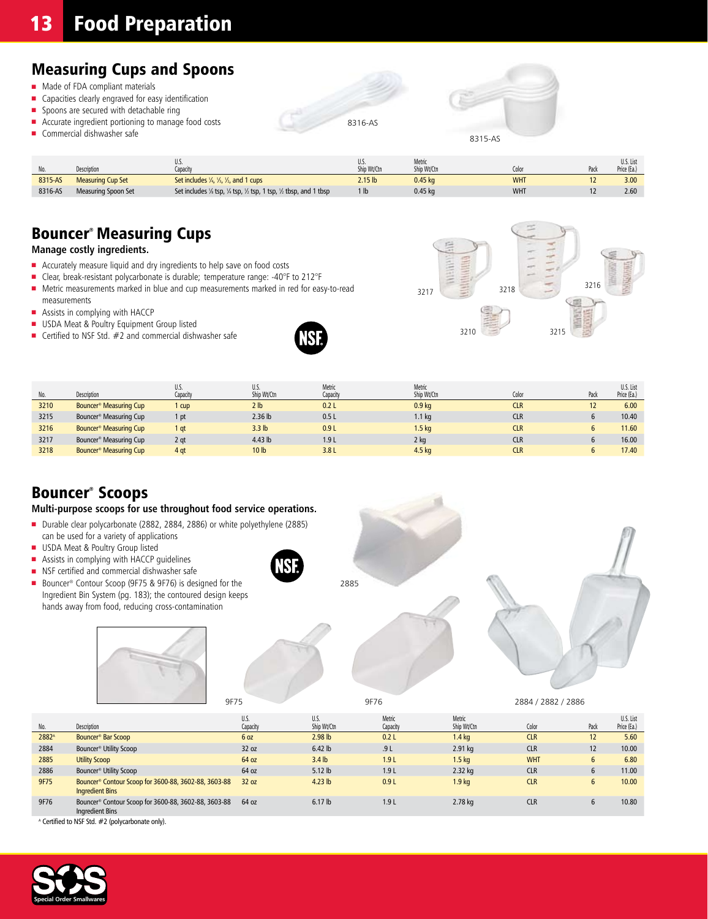# **13 Food Preparation**

## Measuring Cups and Spoons

- $\blacksquare$  Made of FDA compliant materials
- Capacities clearly engraved for easy identification
- $\blacksquare$  Spoons are secured with detachable ring
- $\blacksquare$  Accurate ingredient portioning to manage food costs
- $\blacksquare$  Commercial dishwasher safe

| 8316-AS |  |
|---------|--|



|         |                            |                                                                                                                         | U.S.               | Metric      |            | U.S. List   |
|---------|----------------------------|-------------------------------------------------------------------------------------------------------------------------|--------------------|-------------|------------|-------------|
| No.     | Description                | Capacity                                                                                                                | Ship Wt/Ctn        | Ship Wt/Ctn | Color      | Price (Ea.) |
| 8315-AS | <b>Measuring Cup Set</b>   | Set includes $\frac{1}{4}$ , $\frac{1}{3}$ , $\frac{1}{2}$ , and 1 cups                                                 | 2.15 <sub>lb</sub> | $0.45$ kg   | <b>WHT</b> | 3.00        |
| 8316-AS | <b>Measuring Spoon Set</b> | Set includes $\frac{1}{8}$ tsp, $\frac{1}{4}$ tsp, $\frac{1}{2}$ tsp, $\frac{1}{2}$ tsp, $\frac{1}{2}$ tbsp, and 1 tbsp |                    | $0.45$ ka   | <b>WHT</b> | 2.60        |

## Bouncer® Measuring Cups

#### **Manage costly ingredients.**

- Accurately measure liquid and dry ingredients to help save on food costs
- Clear, break-resistant polycarbonate is durable; temperature range: -40°F to 212°F
- Metric measurements marked in blue and cup measurements marked in red for easy-to-read measurements
- $\blacksquare$  Assists in complying with HACCP
- **n** USDA Meat & Poultry Equipment Group listed
- **n** Certified to NSF Std.  $#2$  and commercial dishwasher safe





|      |                                    | IJ.S.           | U.S.              | Metric   | Metric            |            |      | U.S. List   |
|------|------------------------------------|-----------------|-------------------|----------|-------------------|------------|------|-------------|
| No.  | Description                        | Capacity        | Ship Wt/Ctn       | Capacity | Ship Wt/Ctn       | Color      | Pack | Price (Ea.) |
| 3210 | Bouncer <sup>®</sup> Measuring Cup | 1 cup           | 2 <sub>lb</sub>   | 0.2L     | 0.9 <sub>kg</sub> | <b>CLR</b> |      | 6.00        |
| 3215 | Bouncer <sup>®</sup> Measuring Cup | 1 pt            | $2.36$ lb         | 0.5L     | 1.1 <sub>kg</sub> | <b>CLR</b> |      | 10.40       |
| 3216 | Bouncer <sup>®</sup> Measuring Cup | 1 qt            | 3.3 <sub>lb</sub> | 0.9L     | 1.5 <sub>kq</sub> | <b>CLR</b> |      | 11.60       |
| 3217 | Bouncer <sup>®</sup> Measuring Cup | 2 gt            | $4.43$ lb         | 1.9L     | 2 kg              | <b>CLR</b> |      | 16.00       |
| 3218 | Bouncer <sup>®</sup> Measuring Cup | 4 <sub>qt</sub> | 10 <sub>lb</sub>  | 3.8L     | 4.5 kg            | <b>CLR</b> |      | 17.40       |

### Bouncer® Scoops

#### **Multi-purpose scoops for use throughout food service operations.**

- Durable clear polycarbonate (2882, 2884, 2886) or white polyethylene (2885) can be used for a variety of applications
- **u** USDA Meat & Poultry Group listed
- **n** Assists in complying with HACCP guidelines
- **NSF** certified and commercial dishwasher safe
- Bouncer<sup>®</sup> Contour Scoop (9F75 & 9F76) is designed for the Ingredient Bin System (pg. 183); the contoured design keeps hands away from food, reducing cross-contamination





**NSF** 







| No.               | Description                                                                    | U.S.<br>Capacity | U.S.<br>Ship Wt/Ctn | Metric<br>Capacity | Metric<br>Ship Wt/Ctn | Color      | Pack        | U.S. List<br>Price (Ea.) |
|-------------------|--------------------------------------------------------------------------------|------------------|---------------------|--------------------|-----------------------|------------|-------------|--------------------------|
| 2882 <sup>A</sup> | Bouncer <sup>®</sup> Bar Scoop                                                 | 6 oz             | $2.98$ lb           | 0.2L               | 1.4 <sub>kg</sub>     | <b>CLR</b> | 12          | 5.60                     |
| 2884              | Bouncer <sup>®</sup> Utility Scoop                                             | 32 oz            | $6.42$ lb           | .9L                | $2.91$ kg             | <b>CLR</b> | 12          | 10.00                    |
| 2885              | <b>Utility Scoop</b>                                                           | 64 oz            | 3.4 <sub>lb</sub>   | 1.9L               | 1.5 <sub>kq</sub>     | <b>WHT</b> | 6           | 6.80                     |
| 2886              | Bouncer <sup>®</sup> Utility Scoop                                             | 64 oz            | $5.12$ lb           | 1.9L               | 2.32 kg               | <b>CLR</b> | $\mathbf b$ | 11.00                    |
| 9F75              | Bouncer® Contour Scoop for 3600-88, 3602-88, 3603-88<br><b>Ingredient Bins</b> | 32 oz            | $4.23$ lb           | 0.9L               | 1.9 <sub>kg</sub>     | <b>CLR</b> | h           | 10.00                    |
| 9F76              | Bouncer® Contour Scoop for 3600-88, 3602-88, 3603-88<br>Ingredient Bins        | 64 oz            | $6.17$ lb           | 1.9L               | 2.78 kg               | <b>CLR</b> |             | 10.80                    |

A Certified to NSF Std. #2 (polycarbonate only).

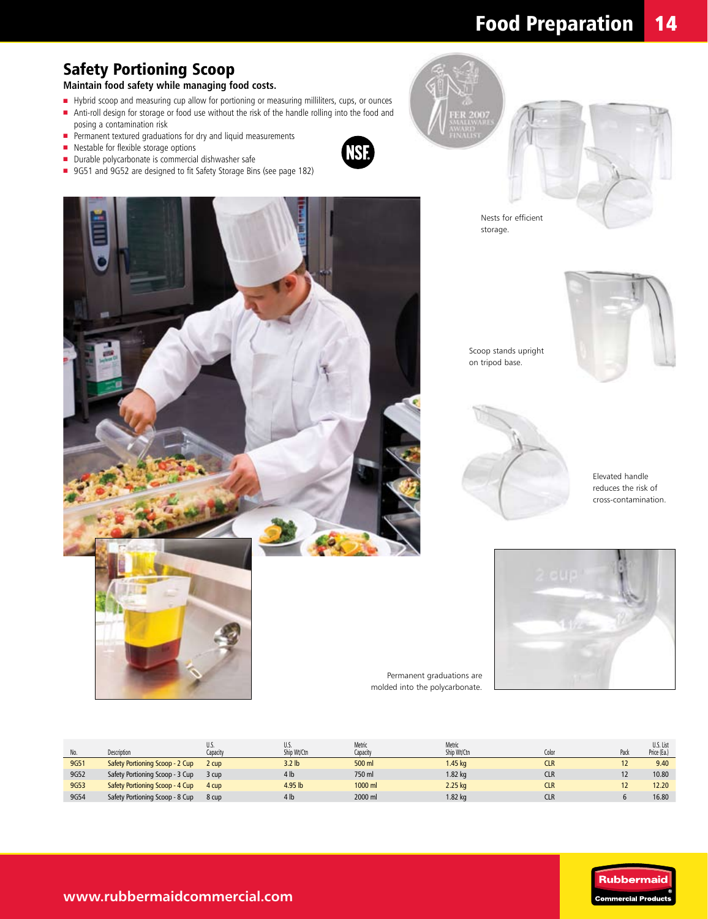# Food Preparation 14

# Safety Portioning Scoop

**Maintain food safety while managing food costs.**

- Hybrid scoop and measuring cup allow for portioning or measuring milliliters, cups, or ounces n Anti-roll design for storage or food use without the risk of the handle rolling into the food and
- posing a contamination risk
- **n** Permanent textured graduations for dry and liquid measurements
- **n** Nestable for flexible storage options
- Durable polycarbonate is commercial dishwasher safe
- 9G51 and 9G52 are designed to fit Safety Storage Bins (see page 182)







Nests for efficient storage.



Scoop stands upright on tripod base.



Elevated handle reduces the risk of cross-contamination.



Permanent graduations are molded into the polycarbonate.

| No.  | Description                     | u.j.<br>Capacitv | U.S.<br>Ship Wt/Ctn | Metric<br>Capacity | Metric<br>Ship Wt/Ctn | Color      | Pacl | U.S. List<br>Price (Ea.) |
|------|---------------------------------|------------------|---------------------|--------------------|-----------------------|------------|------|--------------------------|
| 9G51 | Safety Portioning Scoop - 2 Cup | 2 cup            | 3.2 <sub>lb</sub>   | 500 ml             | 1.45 kg               | <b>CLR</b> |      | 9.40                     |
| 9G52 | Safety Portioning Scoop - 3 Cup | 3 cup            | 4 <sub>lb</sub>     | 750 ml             | 1.82 kg               | <b>CLR</b> |      | 10.80                    |
| 9G53 | Safety Portioning Scoop - 4 Cup | 4 cup            | 4.95 lb             | 1000 ml            | 2.25 kg               | <b>CLR</b> |      | 12.20                    |
| 9G54 | Safety Portioning Scoop - 8 Cup | 8 cup            | 4 <sub>h</sub>      | 2000 ml            | $1.82$ kg             | <b>CLR</b> |      | 16.80                    |



**www.rubbermaidcommercial.com**